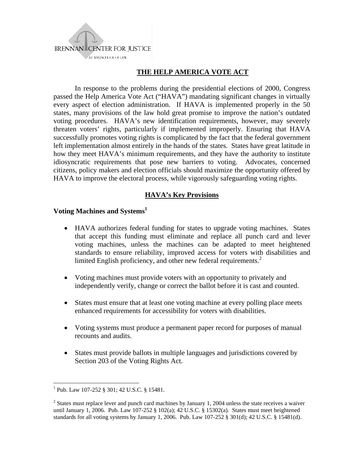

## **THE HELP AMERICA VOTE ACT**

In response to the problems during the presidential elections of 2000, Congress passed the Help America Vote Act ("HAVA") mandating significant changes in virtually every aspect of election administration. If HAVA is implemented properly in the 50 states, many provisions of the law hold great promise to improve the nation's outdated voting procedures. HAVA's new identification requirements, however, may severely threaten voters' rights, particularly if implemented improperly. Ensuring that HAVA successfully promotes voting rights is complicated by the fact that the federal government left implementation almost entirely in the hands of the states. States have great latitude in how they meet HAVA's minimum requirements, and they have the authority to institute idiosyncratic requirements that pose new barriers to voting. Advocates, concerned citizens, policy makers and election officials should maximize the opportunity offered by HAVA to improve the electoral process, while vigorously safeguarding voting rights.

#### **HAVA's Key Provisions**

#### Voting Machines and Systems<sup>1</sup>

- HAVA authorizes federal funding for states to upgrade voting machines. States that accept this funding must eliminate and replace all punch card and lever voting machines, unless the machines can be adapted to meet heightened standards to ensure reliability, improved access for voters with disabilities and limited English proficiency, and other new federal requirements.<sup>2</sup>
- Voting machines must provide voters with an opportunity to privately and independently verify, change or correct the ballot before it is cast and counted.
- States must ensure that at least one voting machine at every polling place meets enhanced requirements for accessibility for voters with disabilities.
- Voting systems must produce a permanent paper record for purposes of manual recounts and audits.
- States must provide ballots in multiple languages and jurisdictions covered by Section 203 of the Voting Rights Act.

 $\overline{a}$ 

<sup>1</sup> Pub. Law 107-252 § 301; 42 U.S.C. § 15481.

 $2^{2}$  States must replace lever and punch card machines by January 1, 2004 unless the state receives a waiver until January 1, 2006. Pub. Law 107-252 § 102(a); 42 U.S.C. § 15302(a). States must meet heightened standards for all voting systems by January 1, 2006. Pub. Law 107-252 § 301(d); 42 U.S.C. § 15481(d).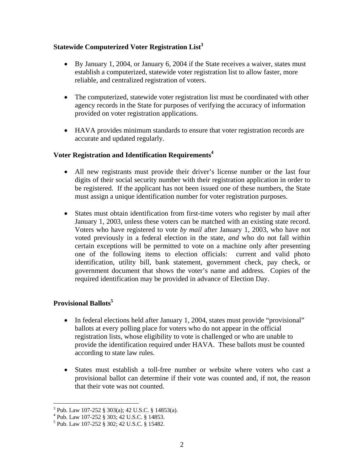### **Statewide Computerized Voter Registration List<sup>3</sup>**

- By January 1, 2004, or January 6, 2004 if the State receives a waiver, states must establish a computerized, statewide voter registration list to allow faster, more reliable, and centralized registration of voters.
- The computerized, statewide voter registration list must be coordinated with other agency records in the State for purposes of verifying the accuracy of information provided on voter registration applications.
- HAVA provides minimum standards to ensure that voter registration records are accurate and updated regularly.

### **Voter Registration and Identification Requirements4**

- All new registrants must provide their driver's license number or the last four digits of their social security number with their registration application in order to be registered. If the applicant has not been issued one of these numbers, the State must assign a unique identification number for voter registration purposes.
- States must obtain identification from first-time voters who register by mail after January 1, 2003, unless these voters can be matched with an existing state record. Voters who have registered to vote *by mail* after January 1, 2003, who have not voted previously in a federal election in the state, *and* who do not fall within certain exceptions will be permitted to vote on a machine only after presenting one of the following items to election officials: current and valid photo identification, utility bill, bank statement, government check, pay check, or government document that shows the voter's name and address. Copies of the required identification may be provided in advance of Election Day.

# **Provisional Ballots5**

1

- In federal elections held after January 1, 2004, states must provide "provisional" ballots at every polling place for voters who do not appear in the official registration lists, whose eligibility to vote is challenged or who are unable to provide the identification required under HAVA. These ballots must be counted according to state law rules.
- States must establish a toll-free number or website where voters who cast a provisional ballot can determine if their vote was counted and, if not, the reason that their vote was not counted.

 $3$  Pub. Law 107-252 § 303(a); 42 U.S.C. § 14853(a).

<sup>4</sup> Pub. Law 107-252 § 303; 42 U.S.C. § 14853.

<sup>5</sup> Pub. Law 107-252 § 302; 42 U.S.C. § 15482.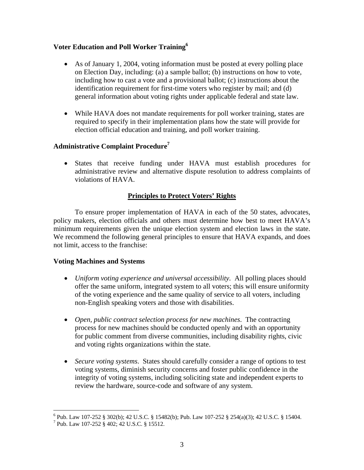# **Voter Education and Poll Worker Training6**

- As of January 1, 2004, voting information must be posted at every polling place on Election Day, including: (a) a sample ballot; (b) instructions on how to vote, including how to cast a vote and a provisional ballot; (c) instructions about the identification requirement for first-time voters who register by mail; and (d) general information about voting rights under applicable federal and state law.
- While HAVA does not mandate requirements for poll worker training, states are required to specify in their implementation plans how the state will provide for election official education and training, and poll worker training.

# **Administrative Complaint Procedure7**

• States that receive funding under HAVA must establish procedures for administrative review and alternative dispute resolution to address complaints of violations of HAVA.

## **Principles to Protect Voters' Rights**

 To ensure proper implementation of HAVA in each of the 50 states, advocates, policy makers, election officials and others must determine how best to meet HAVA's minimum requirements given the unique election system and election laws in the state. We recommend the following general principles to ensure that HAVA expands, and does not limit, access to the franchise:

## **Voting Machines and Systems**

- *Uniform voting experience and universal accessibility.* All polling places should offer the same uniform, integrated system to all voters; this will ensure uniformity of the voting experience and the same quality of service to all voters, including non-English speaking voters and those with disabilities.
- *Open, public contract selection process for new machines*. The contracting process for new machines should be conducted openly and with an opportunity for public comment from diverse communities, including disability rights, civic and voting rights organizations within the state.
- *Secure voting systems*. States should carefully consider a range of options to test voting systems, diminish security concerns and foster public confidence in the integrity of voting systems, including soliciting state and independent experts to review the hardware, source-code and software of any system.

 6 Pub. Law 107-252 § 302(b); 42 U.S.C. § 15482(b); Pub. Law 107-252 § 254(a)(3); 42 U.S.C. § 15404.

<sup>7</sup> Pub. Law 107-252 § 402; 42 U.S.C. § 15512.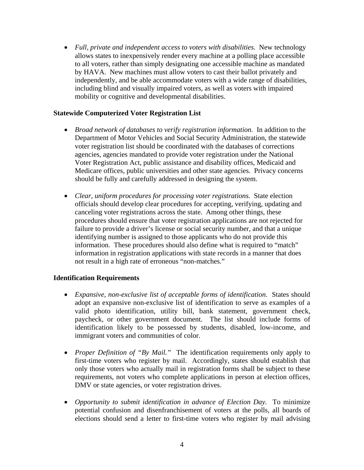• *Full, private and independent access to voters with disabilities.* New technology allows states to inexpensively render every machine at a polling place accessible to all voters, rather than simply designating one accessible machine as mandated by HAVA. New machines must allow voters to cast their ballot privately and independently, and be able accommodate voters with a wide range of disabilities, including blind and visually impaired voters, as well as voters with impaired mobility or cognitive and developmental disabilities.

### **Statewide Computerized Voter Registration List**

- *Broad network of databases to verify registration information.* In addition to the Department of Motor Vehicles and Social Security Administration, the statewide voter registration list should be coordinated with the databases of corrections agencies, agencies mandated to provide voter registration under the National Voter Registration Act, public assistance and disability offices, Medicaid and Medicare offices, public universities and other state agencies. Privacy concerns should be fully and carefully addressed in designing the system.
- *Clear, uniform procedures for processing voter registrations.* State election officials should develop clear procedures for accepting, verifying, updating and canceling voter registrations across the state. Among other things, these procedures should ensure that voter registration applications are not rejected for failure to provide a driver's license or social security number, and that a unique identifying number is assigned to those applicants who do not provide this information. These procedures should also define what is required to "match" information in registration applications with state records in a manner that does not result in a high rate of erroneous "non-matches."

#### **Identification Requirements**

- *Expansive, non-exclusive list of acceptable forms of identification*. States should adopt an expansive non-exclusive list of identification to serve as examples of a valid photo identification, utility bill, bank statement, government check, paycheck, or other government document. The list should include forms of identification likely to be possessed by students, disabled, low-income, and immigrant voters and communities of color.
- *Proper Definition of "By Mail."* The identification requirements only apply to first-time voters who register by mail. Accordingly, states should establish that only those voters who actually mail in registration forms shall be subject to these requirements, not voters who complete applications in person at election offices, DMV or state agencies, or voter registration drives.
- *Opportunity to submit identification in advance of Election Day.* To minimize potential confusion and disenfranchisement of voters at the polls, all boards of elections should send a letter to first-time voters who register by mail advising